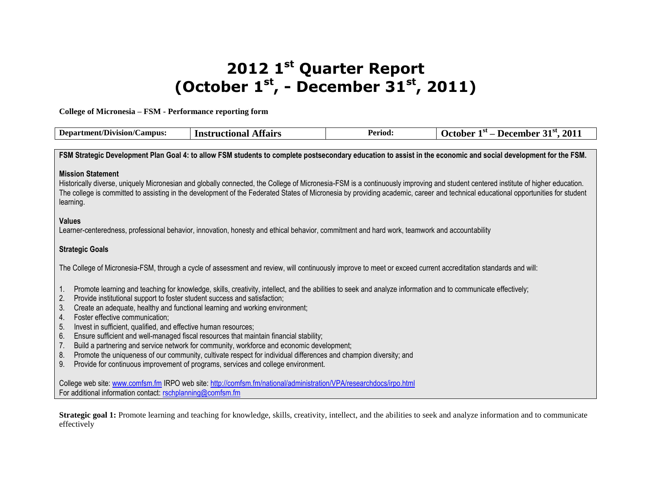# **2012 1 st Quarter Report (October 1st , - December 31st, 2011)**

**College of Micronesia – FSM - Performance reporting form**

| <b>Department/Division/Campus:</b>                                                                                                                                                                                                                                                                                                                                                                                                                                                                                                                                                                                                                                                                                                                                                                                                                                                      | <b>Instructional Affairs</b>                                                                                                                                   | Period: | October $1st$ – December 31 <sup>st</sup> , 2011                                                                                                               |  |  |  |  |
|-----------------------------------------------------------------------------------------------------------------------------------------------------------------------------------------------------------------------------------------------------------------------------------------------------------------------------------------------------------------------------------------------------------------------------------------------------------------------------------------------------------------------------------------------------------------------------------------------------------------------------------------------------------------------------------------------------------------------------------------------------------------------------------------------------------------------------------------------------------------------------------------|----------------------------------------------------------------------------------------------------------------------------------------------------------------|---------|----------------------------------------------------------------------------------------------------------------------------------------------------------------|--|--|--|--|
|                                                                                                                                                                                                                                                                                                                                                                                                                                                                                                                                                                                                                                                                                                                                                                                                                                                                                         |                                                                                                                                                                |         |                                                                                                                                                                |  |  |  |  |
|                                                                                                                                                                                                                                                                                                                                                                                                                                                                                                                                                                                                                                                                                                                                                                                                                                                                                         |                                                                                                                                                                |         | FSM Strategic Development Plan Goal 4: to allow FSM students to complete postsecondary education to assist in the economic and social development for the FSM. |  |  |  |  |
| <b>Mission Statement</b><br>Historically diverse, uniquely Micronesian and globally connected, the College of Micronesia-FSM is a continuously improving and student centered institute of higher education.<br>The college is committed to assisting in the development of the Federated States of Micronesia by providing academic, career and technical educational opportunities for student<br>learning.                                                                                                                                                                                                                                                                                                                                                                                                                                                                           |                                                                                                                                                                |         |                                                                                                                                                                |  |  |  |  |
| <b>Values</b><br>Learner-centeredness, professional behavior, innovation, honesty and ethical behavior, commitment and hard work, teamwork and accountability                                                                                                                                                                                                                                                                                                                                                                                                                                                                                                                                                                                                                                                                                                                           |                                                                                                                                                                |         |                                                                                                                                                                |  |  |  |  |
| <b>Strategic Goals</b>                                                                                                                                                                                                                                                                                                                                                                                                                                                                                                                                                                                                                                                                                                                                                                                                                                                                  |                                                                                                                                                                |         |                                                                                                                                                                |  |  |  |  |
|                                                                                                                                                                                                                                                                                                                                                                                                                                                                                                                                                                                                                                                                                                                                                                                                                                                                                         | The College of Micronesia-FSM, through a cycle of assessment and review, will continuously improve to meet or exceed current accreditation standards and will: |         |                                                                                                                                                                |  |  |  |  |
| Promote learning and teaching for knowledge, skills, creativity, intellect, and the abilities to seek and analyze information and to communicate effectively;<br>1.<br>Provide institutional support to foster student success and satisfaction;<br>2.<br>3.<br>Create an adequate, healthy and functional learning and working environment;<br>Foster effective communication;<br>4.<br>5.<br>Invest in sufficient, qualified, and effective human resources;<br>Ensure sufficient and well-managed fiscal resources that maintain financial stability;<br>6.<br>Build a partnering and service network for community, workforce and economic development;<br>7.<br>Promote the uniqueness of our community, cultivate respect for individual differences and champion diversity; and<br>8.<br>9.<br>Provide for continuous improvement of programs, services and college environment. |                                                                                                                                                                |         |                                                                                                                                                                |  |  |  |  |
| For additional information contact: rschplanning@comfsm.fm                                                                                                                                                                                                                                                                                                                                                                                                                                                                                                                                                                                                                                                                                                                                                                                                                              | College web site: www.comfsm.fm IRPO web site: http://comfsm.fm/national/administration/VPA/researchdocs/irpo.html                                             |         |                                                                                                                                                                |  |  |  |  |

**Strategic goal 1:** Promote learning and teaching for knowledge, skills, creativity, intellect, and the abilities to seek and analyze information and to communicate effectively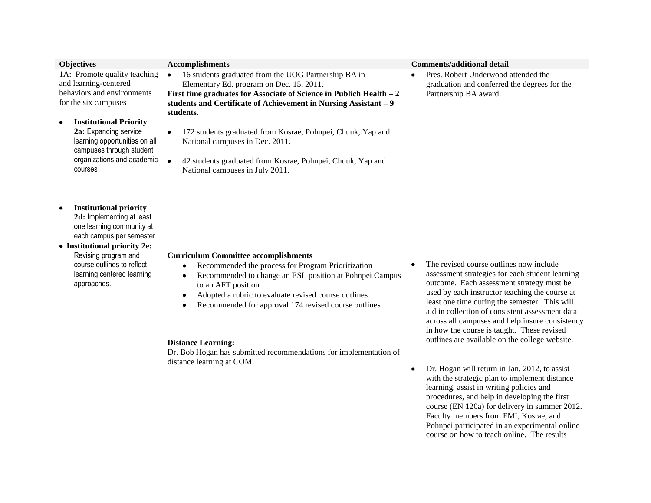| <b>Objectives</b>                                                                                                                                                                                                                                           | <b>Accomplishments</b>                                                                                                                                                                                                                                                                                                                                                                                                                      | <b>Comments/additional detail</b>                                                                                                                                                                                                                                                                                                                                                                                                                                                                                                                                                                                                                                                                                                                                                                                                                     |
|-------------------------------------------------------------------------------------------------------------------------------------------------------------------------------------------------------------------------------------------------------------|---------------------------------------------------------------------------------------------------------------------------------------------------------------------------------------------------------------------------------------------------------------------------------------------------------------------------------------------------------------------------------------------------------------------------------------------|-------------------------------------------------------------------------------------------------------------------------------------------------------------------------------------------------------------------------------------------------------------------------------------------------------------------------------------------------------------------------------------------------------------------------------------------------------------------------------------------------------------------------------------------------------------------------------------------------------------------------------------------------------------------------------------------------------------------------------------------------------------------------------------------------------------------------------------------------------|
| 1A: Promote quality teaching<br>and learning-centered<br>behaviors and environments<br>for the six campuses                                                                                                                                                 | 16 students graduated from the UOG Partnership BA in<br>$\bullet$<br>Elementary Ed. program on Dec. 15, 2011.<br>First time graduates for Associate of Science in Publich Health $-2$<br>students and Certificate of Achievement in Nursing Assistant - 9<br>students.                                                                                                                                                                      | Pres. Robert Underwood attended the<br>٠<br>graduation and conferred the degrees for the<br>Partnership BA award.                                                                                                                                                                                                                                                                                                                                                                                                                                                                                                                                                                                                                                                                                                                                     |
| <b>Institutional Priority</b><br>$\bullet$<br>2a: Expanding service<br>learning opportunities on all<br>campuses through student<br>organizations and academic<br>courses                                                                                   | 172 students graduated from Kosrae, Pohnpei, Chuuk, Yap and<br>$\bullet$<br>National campuses in Dec. 2011.<br>42 students graduated from Kosrae, Pohnpei, Chuuk, Yap and<br>$\bullet$<br>National campuses in July 2011.                                                                                                                                                                                                                   |                                                                                                                                                                                                                                                                                                                                                                                                                                                                                                                                                                                                                                                                                                                                                                                                                                                       |
| <b>Institutional priority</b><br>٠<br>2d: Implementing at least<br>one learning community at<br>each campus per semester<br>• Institutional priority 2e:<br>Revising program and<br>course outlines to reflect<br>learning centered learning<br>approaches. | <b>Curriculum Committee accomplishments</b><br>Recommended the process for Program Prioritization<br>٠<br>Recommended to change an ESL position at Pohnpei Campus<br>٠<br>to an AFT position<br>Adopted a rubric to evaluate revised course outlines<br>Recommended for approval 174 revised course outlines<br><b>Distance Learning:</b><br>Dr. Bob Hogan has submitted recommendations for implementation of<br>distance learning at COM. | The revised course outlines now include<br>assessment strategies for each student learning<br>outcome. Each assessment strategy must be<br>used by each instructor teaching the course at<br>least one time during the semester. This will<br>aid in collection of consistent assessment data<br>across all campuses and help insure consistency<br>in how the course is taught. These revised<br>outlines are available on the college website.<br>Dr. Hogan will return in Jan. 2012, to assist<br>$\bullet$<br>with the strategic plan to implement distance<br>learning, assist in writing policies and<br>procedures, and help in developing the first<br>course (EN 120a) for delivery in summer 2012.<br>Faculty members from FMI, Kosrae, and<br>Pohnpei participated in an experimental online<br>course on how to teach online. The results |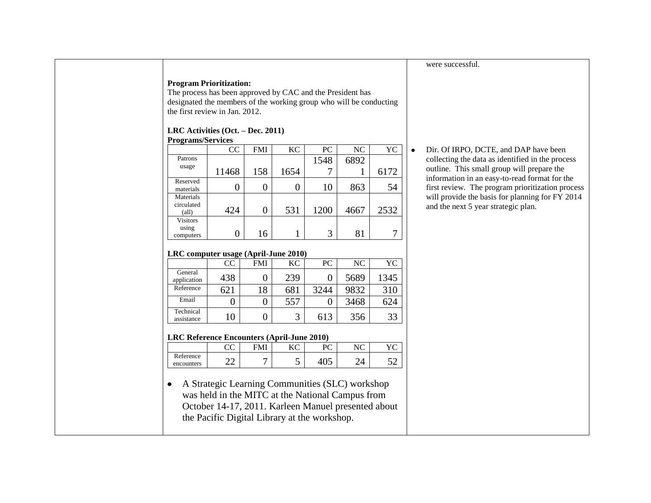## **Program Prioritization:**

The process has been approved by CAC and the President has designated the members of the working group who will be conducting the first review in Jan. 2012.

## **LRC Activities (Oct. – Dec. 2011)**

| <b>Programs/Services</b>                  |               |            |           |      |      |      |
|-------------------------------------------|---------------|------------|-----------|------|------|------|
|                                           | <sub>CC</sub> | <b>FMI</b> | <b>KC</b> | PC   | NC   | YC   |
| Patrons                                   |               |            |           | 1548 | 6892 |      |
| usage                                     | 11468         | 158        | 1654      |      |      | 6172 |
| Reserved<br>materials                     |               | 0          |           | 10   | 863  | 54   |
| Materials<br>circulated<br>$\text{(all)}$ | 424           | 0          | 531       | 1200 | 4667 | 2532 |
| <b>Visitors</b><br>using<br>computers     |               | 16         |           | 3    | 81   |      |

#### **LRC computer usage (April-June 2010)**

|                         | -   |            |     |      |      |      |
|-------------------------|-----|------------|-----|------|------|------|
|                         | CC  | <b>FMI</b> | KС  | PС   | NC   | YС   |
| General<br>application  | 438 |            | 239 |      | 5689 | 1345 |
| Reference               | 621 | 18         | 681 | 3244 | 9832 | 310  |
| Email                   |     |            | 557 |      | 3468 | 624  |
| Technical<br>assistance | 10  |            | 3   | 613  | 356  | 33   |

#### **LRC Reference Encounters (April-June 2010)**

|                         | $\sim$ $\sim$<br>w | FMI | $\overline{\phantom{a}}$ | רות<br>◡ | $\mathbf{M}$ |    |
|-------------------------|--------------------|-----|--------------------------|----------|--------------|----|
| Reference<br>encounters | ົ<br>ے،            |     | ັ                        | TUJ      |              | ہے |

A Strategic Learning Communities (SLC) workshop was held in the MITC at the National Campus from October 14-17, 2011. Karleen Manuel presented about the Pacific Digital Library at the workshop.

Dir. Of IRPO, DCTE, and DAP have been collecting the data as identified in the process outline. This small group will prepare the information in an easy-to-read format for the first review. The program prioritization process will provide the basis for planning for FY 2014 and the next 5 year strategic plan.

were successful.

 $\bullet$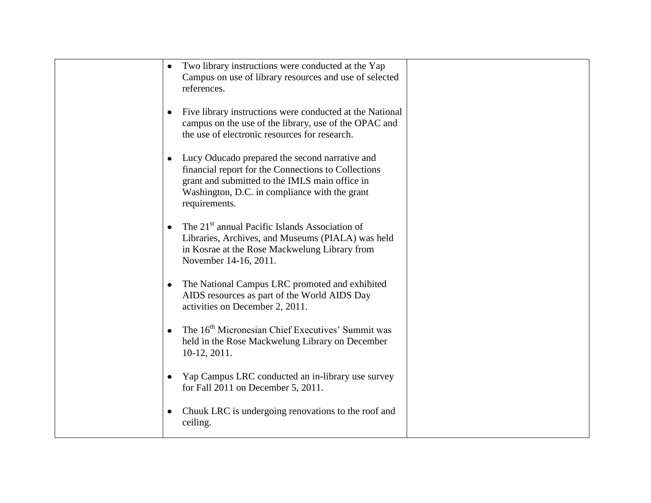| Two library instructions were conducted at the Yap<br>Campus on use of library resources and use of selected<br>references.                                                                                                 |  |
|-----------------------------------------------------------------------------------------------------------------------------------------------------------------------------------------------------------------------------|--|
| Five library instructions were conducted at the National<br>campus on the use of the library, use of the OPAC and<br>the use of electronic resources for research.                                                          |  |
| • Lucy Oducado prepared the second narrative and<br>financial report for the Connections to Collections<br>grant and submitted to the IMLS main office in<br>Washington, D.C. in compliance with the grant<br>requirements. |  |
| The 21 <sup>st</sup> annual Pacific Islands Association of<br>Libraries, Archives, and Museums (PIALA) was held<br>in Kosrae at the Rose Mackwelung Library from<br>November 14-16, 2011.                                   |  |
| The National Campus LRC promoted and exhibited<br>AIDS resources as part of the World AIDS Day<br>activities on December 2, 2011.                                                                                           |  |
| The 16 <sup>th</sup> Micronesian Chief Executives' Summit was<br>held in the Rose Mackwelung Library on December<br>$10-12, 2011.$                                                                                          |  |
| Yap Campus LRC conducted an in-library use survey<br>for Fall 2011 on December 5, 2011.                                                                                                                                     |  |
| Chuuk LRC is undergoing renovations to the roof and<br>$\bullet$<br>ceiling.                                                                                                                                                |  |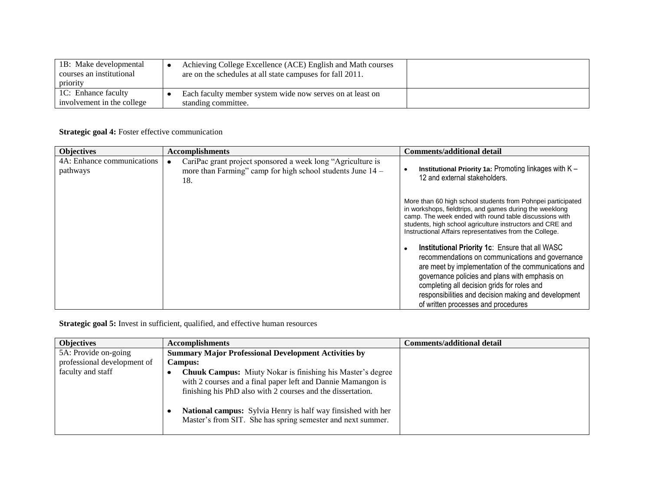| 1B: Make developmental<br>courses an institutional<br>priority | Achieving College Excellence (ACE) English and Math courses<br>are on the schedules at all state campuses for fall 2011. |  |
|----------------------------------------------------------------|--------------------------------------------------------------------------------------------------------------------------|--|
| 1C: Enhance faculty<br>involvement in the college              | Each faculty member system wide now serves on at least on<br>standing committee.                                         |  |

## **Strategic goal 4:** Foster effective communication

| <b>Objectives</b>                      | <b>Accomplishments</b>                                                                                                           | <b>Comments/additional detail</b>                                                                                                                                                                                                                                                                                                                           |
|----------------------------------------|----------------------------------------------------------------------------------------------------------------------------------|-------------------------------------------------------------------------------------------------------------------------------------------------------------------------------------------------------------------------------------------------------------------------------------------------------------------------------------------------------------|
| 4A: Enhance communications<br>pathways | CariPac grant project sponsored a week long "Agriculture is<br>more than Farming" camp for high school students June 14 -<br>18. | Institutional Priority 1a: Promoting linkages with $K -$<br>12 and external stakeholders.                                                                                                                                                                                                                                                                   |
|                                        |                                                                                                                                  | More than 60 high school students from Pohnpei participated<br>in workshops, fieldtrips, and games during the weeklong<br>camp. The week ended with round table discussions with<br>students, high school agriculture instructors and CRE and<br>Instructional Affairs representatives from the College.                                                    |
|                                        |                                                                                                                                  | Institutional Priority 1c: Ensure that all WASC<br>recommendations on communications and governance<br>are meet by implementation of the communications and<br>governance policies and plans with emphasis on<br>completing all decision grids for roles and<br>responsibilities and decision making and development<br>of written processes and procedures |

## **Strategic goal 5:** Invest in sufficient, qualified, and effective human resources

| <b>Objectives</b>           | <b>Accomplishments</b>                                                                                                                                                                           | <b>Comments/additional detail</b> |
|-----------------------------|--------------------------------------------------------------------------------------------------------------------------------------------------------------------------------------------------|-----------------------------------|
| 5A: Provide on-going        | <b>Summary Major Professional Development Activities by</b>                                                                                                                                      |                                   |
| professional development of | <b>Campus:</b>                                                                                                                                                                                   |                                   |
| faculty and staff           | <b>Chuuk Campus:</b> Miuty Nokar is finishing his Master's degree<br>with 2 courses and a final paper left and Dannie Mamangon is<br>finishing his PhD also with 2 courses and the dissertation. |                                   |
|                             | National campus: Sylvia Henry is half way finsished with her<br>Master's from SIT. She has spring semester and next summer.                                                                      |                                   |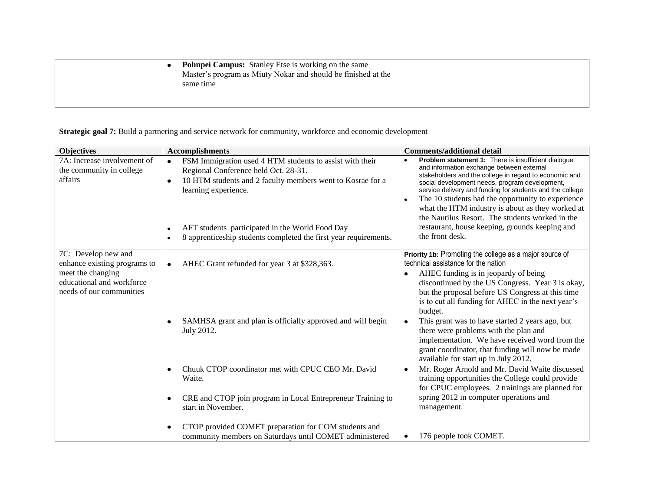| <b>Pohnpei Campus:</b> Stanley Etse is working on the same<br>Master's program as Miuty Nokar and should be finished at the<br>same time |  |
|------------------------------------------------------------------------------------------------------------------------------------------|--|
|                                                                                                                                          |  |

## **Strategic goal 7:** Build a partnering and service network for community, workforce and economic development

| <b>Objectives</b>                                                                                                                 | <b>Accomplishments</b>                                                                                                                                                                                                                                                                                                          | <b>Comments/additional detail</b>                                                                                                                                                                                                                                                                                                                                                                                                                                                                          |
|-----------------------------------------------------------------------------------------------------------------------------------|---------------------------------------------------------------------------------------------------------------------------------------------------------------------------------------------------------------------------------------------------------------------------------------------------------------------------------|------------------------------------------------------------------------------------------------------------------------------------------------------------------------------------------------------------------------------------------------------------------------------------------------------------------------------------------------------------------------------------------------------------------------------------------------------------------------------------------------------------|
| 7A: Increase involvement of<br>the community in college<br>affairs                                                                | FSM Immigration used 4 HTM students to assist with their<br>$\bullet$<br>Regional Conference held Oct. 28-31.<br>10 HTM students and 2 faculty members went to Kosrae for a<br>٠<br>learning experience.<br>AFT students participated in the World Food Day<br>8 apprenticeship students completed the first year requirements. | Problem statement 1: There is insufficient dialogue<br>and information exchange between external<br>stakeholders and the college in regard to economic and<br>social development needs, program development,<br>service delivery and funding for students and the college<br>The 10 students had the opportunity to experience<br>what the HTM industry is about as they worked at<br>the Nautilus Resort. The students worked in the<br>restaurant, house keeping, grounds keeping and<br>the front desk. |
| 7C: Develop new and<br>enhance existing programs to<br>meet the changing<br>educational and workforce<br>needs of our communities | AHEC Grant refunded for year 3 at \$328,363.<br>$\bullet$                                                                                                                                                                                                                                                                       | Priority 1b: Promoting the college as a major source of<br>technical assistance for the nation<br>AHEC funding is in jeopardy of being<br>discontinued by the US Congress. Year 3 is okay,<br>but the proposal before US Congress at this time<br>is to cut all funding for AHEC in the next year's<br>budget.                                                                                                                                                                                             |
|                                                                                                                                   | SAMHSA grant and plan is officially approved and will begin<br>July 2012.                                                                                                                                                                                                                                                       | This grant was to have started 2 years ago, but<br>there were problems with the plan and<br>implementation. We have received word from the<br>grant coordinator, that funding will now be made<br>available for start up in July 2012.                                                                                                                                                                                                                                                                     |
|                                                                                                                                   | Chuuk CTOP coordinator met with CPUC CEO Mr. David<br>Waite.                                                                                                                                                                                                                                                                    | Mr. Roger Arnold and Mr. David Waite discussed<br>training opportunities the College could provide<br>for CPUC employees. 2 trainings are planned for                                                                                                                                                                                                                                                                                                                                                      |
|                                                                                                                                   | CRE and CTOP join program in Local Entrepreneur Training to<br>start in November.                                                                                                                                                                                                                                               | spring 2012 in computer operations and<br>management.                                                                                                                                                                                                                                                                                                                                                                                                                                                      |
|                                                                                                                                   | CTOP provided COMET preparation for COM students and<br>community members on Saturdays until COMET administered                                                                                                                                                                                                                 | 176 people took COMET.<br>٠                                                                                                                                                                                                                                                                                                                                                                                                                                                                                |